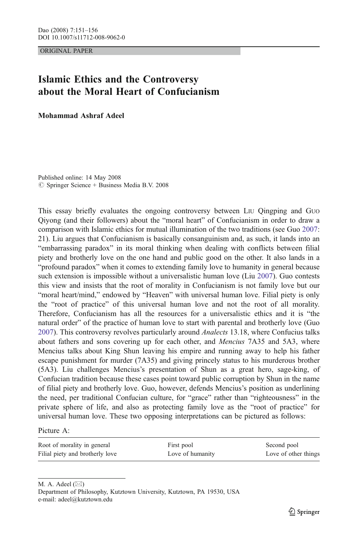ORIGINAL PAPER

## Islamic Ethics and the Controversy about the Moral Heart of Confucianism

Mohammad Ashraf Adeel

Published online: 14 May 2008  $\circ$  Springer Science + Business Media B.V. 2008

This essay briefly evaluates the ongoing controversy between LIU Qingping and GUO Qiyong (and their followers) about the "moral heart" of Confucianism in order to draw a comparison with Islamic ethics for mutual illumination of the two traditions (see Guo [2007](#page-5-0): 21). Liu argues that Confucianism is basically consanguinism and, as such, it lands into an "embarrassing paradox" in its moral thinking when dealing with conflicts between filial piety and brotherly love on the one hand and public good on the other. It also lands in a "profound paradox" when it comes to extending family love to humanity in general because such extension is impossible without a universalistic human love (Liu [2007](#page-5-0)). Guo contests this view and insists that the root of morality in Confucianism is not family love but our "moral heart/mind," endowed by "Heaven" with universal human love. Filial piety is only the "root of practice" of this universal human love and not the root of all morality. Therefore, Confucianism has all the resources for a universalistic ethics and it is "the natural order" of the practice of human love to start with parental and brotherly love (Guo [2007\)](#page-5-0). This controversy revolves particularly around *Analects* 13.18, where Confucius talks about fathers and sons covering up for each other, and *Mencius* 7A35 and 5A3, where Mencius talks about King Shun leaving his empire and running away to help his father escape punishment for murder (7A35) and giving princely status to his murderous brother (5A3). Liu challenges Mencius's presentation of Shun as a great hero, sage-king, of Confucian tradition because these cases point toward public corruption by Shun in the name of filial piety and brotherly love. Guo, however, defends Mencius's position as underlining the need, per traditional Confucian culture, for "grace" rather than "righteousness" in the private sphere of life, and also as protecting family love as the "root of practice" for universal human love. These two opposing interpretations can be pictured as follows:

Picture A:

| Root of morality in general     | First pool       | Second pool          |
|---------------------------------|------------------|----------------------|
| Filial piety and brotherly love | Love of humanity | Love of other things |

M. A. Adeel (*\**)

Department of Philosophy, Kutztown University, Kutztown, PA 19530, USA e-mail: adeel@kutztown.edu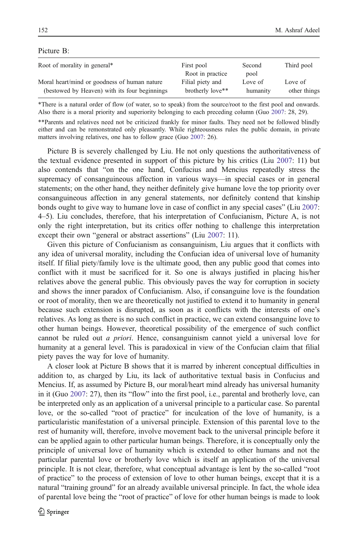## Picture B:

| Root of morality in general*                                                                  | First pool<br>Root in practice       | Second<br>pool      | Third pool              |
|-----------------------------------------------------------------------------------------------|--------------------------------------|---------------------|-------------------------|
| Moral heart/mind or goodness of human nature<br>(bestowed by Heaven) with its four beginnings | Filial piety and<br>brotherly love** | Love of<br>humanity | Love of<br>other things |

\*There is a natural order of flow (of water, so to speak) from the source/root to the first pool and onwards. Also there is a moral priority and superiority belonging to each preceding column (Guo [2007](#page-5-0): 28, 29).

\*\*Parents and relatives need not be criticized frankly for minor faults. They need not be followed blindly either and can be remonstrated only pleasantly. While righteousness rules the public domain, in private matters involving relatives, one has to follow grace (Guo [2007:](#page-5-0) 26).

Picture B is severely challenged by Liu. He not only questions the authoritativeness of the textual evidence presented in support of this picture by his critics (Liu [2007:](#page-5-0) 11) but also contends that "on the one hand, Confucius and Mencius repeatedly stress the supremacy of consanguineous affection in various ways—in special cases or in general statements; on the other hand, they neither definitely give humane love the top priority over consanguineous affection in any general statements, nor definitely contend that kinship bonds ought to give way to humane love in case of conflict in any special cases" (Liu [2007](#page-5-0): 4–5). Liu concludes, therefore, that his interpretation of Confucianism, Picture A, is not only the right interpretation, but its critics offer nothing to challenge this interpretation except their own "general or abstract assertions" (Liu [2007:](#page-5-0) 11).

Given this picture of Confucianism as consanguinism, Liu argues that it conflicts with any idea of universal morality, including the Confucian idea of universal love of humanity itself. If filial piety/family love is the ultimate good, then any public good that comes into conflict with it must be sacrificed for it. So one is always justified in placing his/her relatives above the general public. This obviously paves the way for corruption in society and shows the inner paradox of Confucianism. Also, if consanguine love is the foundation or root of morality, then we are theoretically not justified to extend it to humanity in general because such extension is disrupted, as soon as it conflicts with the interests of one's relatives. As long as there is no such conflict in practice, we can extend consanguine love to other human beings. However, theoretical possibility of the emergence of such conflict cannot be ruled out a priori. Hence, consanguinism cannot yield a universal love for humanity at a general level. This is paradoxical in view of the Confucian claim that filial piety paves the way for love of humanity.

A closer look at Picture B shows that it is marred by inherent conceptual difficulties in addition to, as charged by Liu, its lack of authoritative textual basis in Confucius and Mencius. If, as assumed by Picture B, our moral/heart mind already has universal humanity in it (Guo [2007](#page-5-0): 27), then its "flow" into the first pool, i.e., parental and brotherly love, can be interpreted only as an application of a universal principle to a particular case. So parental love, or the so-called "root of practice" for inculcation of the love of humanity, is a particularistic manifestation of a universal principle. Extension of this parental love to the rest of humanity will, therefore, involve movement back to the universal principle before it can be applied again to other particular human beings. Therefore, it is conceptually only the principle of universal love of humanity which is extended to other humans and not the particular parental love or brotherly love which is itself an application of the universal principle. It is not clear, therefore, what conceptual advantage is lent by the so-called "root of practice" to the process of extension of love to other human beings, except that it is a natural "training ground" for an already available universal principle. In fact, the whole idea of parental love being the "root of practice" of love for other human beings is made to look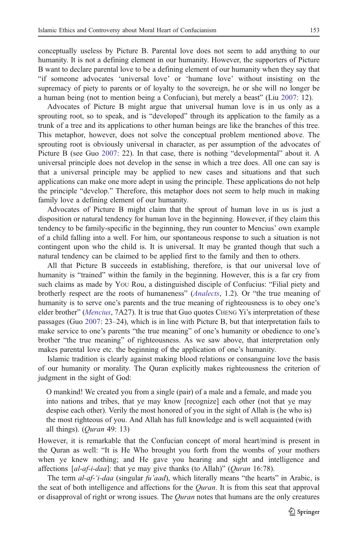conceptually useless by Picture B. Parental love does not seem to add anything to our humanity. It is not a defining element in our humanity. However, the supporters of Picture B want to declare parental love to be a defining element of our humanity when they say that "if someone advocates 'universal love' or 'humane love' without insisting on the supremacy of piety to parents or of loyalty to the sovereign, he or she will no longer be a human being (not to mention being a Confucian), but merely a beast" (Liu [2007](#page-5-0): 12).

Advocates of Picture B might argue that universal human love is in us only as a sprouting root, so to speak, and is "developed" through its application to the family as a trunk of a tree and its applications to other human beings are like the branches of this tree. This metaphor, however, does not solve the conceptual problem mentioned above. The sprouting root is obviously universal in character, as per assumption of the advocates of Picture B (see Guo [2007:](#page-5-0) 22). In that case, there is nothing "developmental" about it. A universal principle does not develop in the sense in which a tree does. All one can say is that a universal principle may be applied to new cases and situations and that such applications can make one more adept in using the principle. These applications do not help the principle "develop." Therefore, this metaphor does not seem to help much in making family love a defining element of our humanity.

Advocates of Picture B might claim that the sprout of human love in us is just a disposition or natural tendency for human love in the beginning. However, if they claim this tendency to be family-specific in the beginning, they run counter to Mencius' own example of a child falling into a well. For him, our spontaneous response to such a situation is not contingent upon who the child is. It is universal. It may be granted though that such a natural tendency can be claimed to be applied first to the family and then to others.

All that Picture B succeeds in establishing, therefore, is that our universal love of humanity is "trained" within the family in the beginning. However, this is a far cry from such claims as made by YOU Rou, a distinguished disciple of Confucius: "Filial piety and brotherly respect are the roots of humaneness" (*[Analects](#page-5-0)*, 1.2). Or "the true meaning of humanity is to serve one's parents and the true meaning of righteousness is to obey one's elder brother" ([Mencius](#page-5-0), 7A27). It is true that Guo quotes CHENG Yi's interpretation of these passages (Guo [2007](#page-5-0): 23–24), which is in line with Picture B, but that interpretation fails to make service to one's parents "the true meaning" of one's humanity or obedience to one's brother "the true meaning" of righteousness. As we saw above, that interpretation only makes parental love etc. the beginning of the application of one's humanity.

Islamic tradition is clearly against making blood relations or consanguine love the basis of our humanity or morality. The Quran explicitly makes righteousness the criterion of judgment in the sight of God:

O mankind! We created you from a single (pair) of a male and a female, and made you into nations and tribes, that ye may know [recognize] each other (not that ye may despise each other). Verily the most honored of you in the sight of Allah is (he who is) the most righteous of you. And Allah has full knowledge and is well acquainted (with all things).  $(Our an 49: 13)$ 

However, it is remarkable that the Confucian concept of moral heart/mind is present in the Quran as well: "It is He Who brought you forth from the wombs of your mothers when ye knew nothing; and He gave you hearing and sight and intelligence and affections  $[a1-a1]$ : that ye may give thanks (to Allah)" (*Quran* 16:78).

The term al-af-'i-daa (singular fu'aad), which literally means "the hearts" in Arabic, is the seat of both intelligence and affections for the *Quran*. It is from this seat that approval or disapproval of right or wrong issues. The *Quran* notes that humans are the only creatures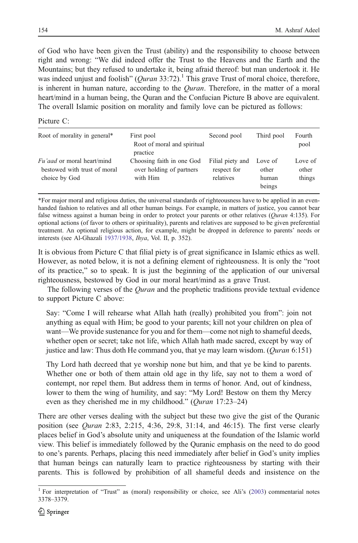of God who have been given the Trust (ability) and the responsibility to choose between right and wrong: "We did indeed offer the Trust to the Heavens and the Earth and the Mountains; but they refused to undertake it, being afraid thereof: but man undertook it. He was indeed unjust and foolish" (*Ouran* 33:72).<sup>1</sup> This grave Trust of moral choice, therefore, is inherent in human nature, according to the *Ouran*. Therefore, in the matter of a moral heart/mind in a human being, the Quran and the Confucian Picture B above are equivalent. The overall Islamic position on morality and family love can be pictured as follows:

## Picture C:

| Root of morality in general*                                                       | First pool<br>Root of moral and spiritual<br>practice             | Second pool                                  | Third pool                          | Fourth<br>pool             |
|------------------------------------------------------------------------------------|-------------------------------------------------------------------|----------------------------------------------|-------------------------------------|----------------------------|
| <i>Fu'aad</i> or moral heart/mind<br>bestowed with trust of moral<br>choice by God | Choosing faith in one God<br>over holding of partners<br>with Him | Filial piety and<br>respect for<br>relatives | Love of<br>other<br>human<br>beings | Love of<br>other<br>things |

\*For major moral and religious duties, the universal standards of righteousness have to be applied in an evenhanded fashion to relatives and all other human beings. For example, in matters of justice, you cannot bear false witness against a human being in order to protect your parents or other relatives (Ouran 4:135). For optional actions (of favor to others or spirituality), parents and relatives are supposed to be given preferential treatment. An optional religious action, for example, might be dropped in deference to parents' needs or interests (see Al-Ghazali [1937/1938](#page-5-0), Ihya, Vol. II, p. 352).

It is obvious from Picture C that filial piety is of great significance in Islamic ethics as well. However, as noted below, it is not a defining element of righteousness. It is only the "root of its practice," so to speak. It is just the beginning of the application of our universal righteousness, bestowed by God in our moral heart/mind as a grave Trust.

The following verses of the *Quran* and the prophetic traditions provide textual evidence to support Picture C above:

Say: "Come I will rehearse what Allah hath (really) prohibited you from": join not anything as equal with Him; be good to your parents; kill not your children on plea of want—We provide sustenance for you and for them—come not nigh to shameful deeds, whether open or secret; take not life, which Allah hath made sacred, except by way of justice and law: Thus doth He command you, that ye may learn wisdom.  $(Quran 6:151)$ 

Thy Lord hath decreed that ye worship none but him, and that ye be kind to parents. Whether one or both of them attain old age in thy life, say not to them a word of contempt, nor repel them. But address them in terms of honor. And, out of kindness, lower to them the wing of humility, and say: "My Lord! Bestow on them thy Mercy even as they cherished me in my childhood." (*Quran* 17:23–24)

There are other verses dealing with the subject but these two give the gist of the Quranic position (see *Quran* 2:83, 2:215, 4:36, 29:8, 31:14, and 46:15). The first verse clearly places belief in God's absolute unity and uniqueness at the foundation of the Islamic world view. This belief is immediately followed by the Quranic emphasis on the need to do good to one's parents. Perhaps, placing this need immediately after belief in God's unity implies that human beings can naturally learn to practice righteousness by starting with their parents. This is followed by prohibition of all shameful deeds and insistence on the

<sup>&</sup>lt;sup>1</sup> For interpretation of "Trust" as (moral) responsibility or choice, see Ali's [\(2003](#page-5-0)) commentarial notes 3378–3379.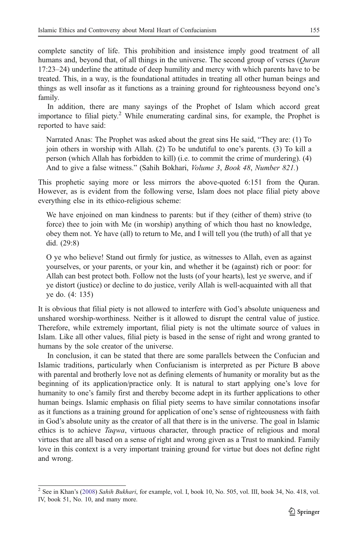complete sanctity of life. This prohibition and insistence imply good treatment of all humans and, beyond that, of all things in the universe. The second group of verses (*Quran*) 17:23–24) underline the attitude of deep humility and mercy with which parents have to be treated. This, in a way, is the foundational attitudes in treating all other human beings and things as well insofar as it functions as a training ground for righteousness beyond one's family.

In addition, there are many sayings of the Prophet of Islam which accord great importance to filial piety.<sup>2</sup> While enumerating cardinal sins, for example, the Prophet is reported to have said:

Narrated Anas: The Prophet was asked about the great sins He said, "They are: (1) To join others in worship with Allah. (2) To be undutiful to one's parents. (3) To kill a person (which Allah has forbidden to kill) (i.e. to commit the crime of murdering). (4) And to give a false witness." (Sahih Bokhari, *Volume 3, Book 48, Number 821.*)

This prophetic saying more or less mirrors the above-quoted 6:151 from the Quran. However, as is evident from the following verse, Islam does not place filial piety above everything else in its ethico-religious scheme:

We have enjoined on man kindness to parents: but if they (either of them) strive (to force) thee to join with Me (in worship) anything of which thou hast no knowledge, obey them not. Ye have (all) to return to Me, and I will tell you (the truth) of all that ye did. (29:8)

O ye who believe! Stand out firmly for justice, as witnesses to Allah, even as against yourselves, or your parents, or your kin, and whether it be (against) rich or poor: for Allah can best protect both. Follow not the lusts (of your hearts), lest ye swerve, and if ye distort (justice) or decline to do justice, verily Allah is well-acquainted with all that ye do. (4: 135)

It is obvious that filial piety is not allowed to interfere with God's absolute uniqueness and unshared worship-worthiness. Neither is it allowed to disrupt the central value of justice. Therefore, while extremely important, filial piety is not the ultimate source of values in Islam. Like all other values, filial piety is based in the sense of right and wrong granted to humans by the sole creator of the universe.

In conclusion, it can be stated that there are some parallels between the Confucian and Islamic traditions, particularly when Confucianism is interpreted as per Picture B above with parental and brotherly love not as defining elements of humanity or morality but as the beginning of its application/practice only. It is natural to start applying one's love for humanity to one's family first and thereby become adept in its further applications to other human beings. Islamic emphasis on filial piety seems to have similar connotations insofar as it functions as a training ground for application of one's sense of righteousness with faith in God's absolute unity as the creator of all that there is in the universe. The goal in Islamic ethics is to achieve Taqwa, virtuous character, through practice of religious and moral virtues that are all based on a sense of right and wrong given as a Trust to mankind. Family love in this context is a very important training ground for virtue but does not define right and wrong.

<sup>&</sup>lt;sup>2</sup> See in Khan's ([2008\)](#page-5-0) Sahih Bukhari, for example, vol. I, book 10, No. 505, vol. III, book 34, No. 418, vol. IV, book 51, No. 10, and many more.